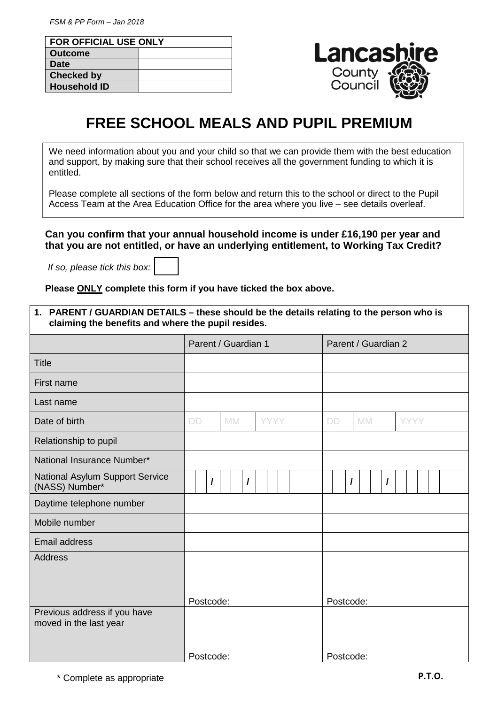| <b>FOR OFFICIAL USE ONLY</b> |  |  |  |  |  |
|------------------------------|--|--|--|--|--|
| <b>Outcome</b>               |  |  |  |  |  |
| <b>Date</b>                  |  |  |  |  |  |
| <b>Checked by</b>            |  |  |  |  |  |
| <b>Household ID</b>          |  |  |  |  |  |



## **FREE SCHOOL MEALS AND PUPIL PREMIUM**

We need information about you and your child so that we can provide them with the best education and support, by making sure that their school receives all the government funding to which it is entitled.

Please complete all sections of the form below and return this to the school or direct to the Pupil Access Team at the Area Education Office for the area where you live – see details overleaf.

**Can you confirm that your annual household income is under £16,190 per year and that you are not entitled, or have an underlying entitlement, to Working Tax Credit?** 

If so, please tick this box:

**Please ONLY complete this form if you have ticked the box above.** 

| 1. PARENT / GUARDIAN DETAILS - these should be the details relating to the person who is<br>claiming the benefits and where the pupil resides. |                     |           |  |             |                     |  |           |           |           |          |  |             |  |
|------------------------------------------------------------------------------------------------------------------------------------------------|---------------------|-----------|--|-------------|---------------------|--|-----------|-----------|-----------|----------|--|-------------|--|
|                                                                                                                                                | Parent / Guardian 1 |           |  |             | Parent / Guardian 2 |  |           |           |           |          |  |             |  |
| <b>Title</b>                                                                                                                                   |                     |           |  |             |                     |  |           |           |           |          |  |             |  |
| First name                                                                                                                                     |                     |           |  |             |                     |  |           |           |           |          |  |             |  |
| Last name                                                                                                                                      |                     |           |  |             |                     |  |           |           |           |          |  |             |  |
| Date of birth                                                                                                                                  | <b>DD</b>           | <b>MM</b> |  | <b>YYYY</b> |                     |  | <b>DD</b> |           | <b>MM</b> |          |  | <b>YYYY</b> |  |
| Relationship to pupil                                                                                                                          |                     |           |  |             |                     |  |           |           |           |          |  |             |  |
| National Insurance Number*                                                                                                                     |                     |           |  |             |                     |  |           |           |           |          |  |             |  |
| National Asylum Support Service<br>(NASS) Number*                                                                                              | $\prime$            | $\prime$  |  |             |                     |  |           | $\prime$  |           | $\prime$ |  |             |  |
| Daytime telephone number                                                                                                                       |                     |           |  |             |                     |  |           |           |           |          |  |             |  |
| Mobile number                                                                                                                                  |                     |           |  |             |                     |  |           |           |           |          |  |             |  |
| <b>Email address</b>                                                                                                                           |                     |           |  |             |                     |  |           |           |           |          |  |             |  |
| <b>Address</b>                                                                                                                                 |                     |           |  |             |                     |  |           |           |           |          |  |             |  |
| Previous address if you have                                                                                                                   | Postcode:           |           |  |             |                     |  |           |           | Postcode: |          |  |             |  |
| moved in the last year                                                                                                                         |                     |           |  |             |                     |  |           |           |           |          |  |             |  |
|                                                                                                                                                | Postcode:           |           |  |             |                     |  |           | Postcode: |           |          |  |             |  |